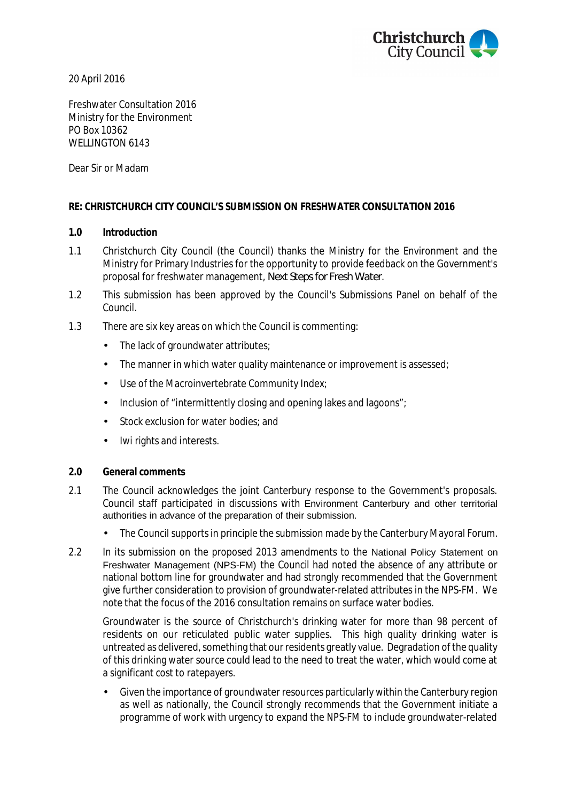

20 April 2016

Freshwater Consultation 2016 Ministry for the Environment PO Box 10362 WELLINGTON 6143

Dear Sir or Madam

# **RE: CHRISTCHURCH CITY COUNCIL'S SUBMISSION ON FRESHWATER CONSULTATION 2016**

- **1.0 Introduction**
- 1.1 Christchurch City Council (the Council) thanks the Ministry for the Environment and the Ministry for Primary Industries for the opportunity to provide feedback on the Government's proposal for freshwater management, *Next Steps for Fresh Water*.
- 1.2 This submission has been approved by the Council's Submissions Panel on behalf of the Council.
- 1.3 There are six key areas on which the Council is commenting:
	- The lack of groundwater attributes;
	- The manner in which water quality maintenance or improvement is assessed;  $\mathbf{r}$
	- Use of the Macroinvertebrate Community Index; J.
	- Inclusion of "intermittently closing and opening lakes and lagoons"; t.
	- l. Stock exclusion for water bodies; and
	- Iwi rights and interests.
- **2.0 General comments**
- 2.1 The Council acknowledges the joint Canterbury response to the Government's proposals. Council staff participated in discussions with Environment Canterbury and other territorial authorities in advance of the preparation of their submission.
	- The Council supports in principle the submission made by the Canterbury Mayoral Forum.
- 2.2 In its submission on the proposed 2013 amendments to the National Policy Statement on Freshwater Management (NPS-FM) the Council had noted the absence of any attribute or national bottom line for groundwater and had strongly recommended that the Government give further consideration to provision of groundwater-related attributes in the NPS-FM. We note that the focus of the 2016 consultation remains on surface water bodies.

Groundwater is the source of Christchurch's drinking water for more than 98 percent of residents on our reticulated public water supplies. This high quality drinking water is untreated as delivered, something that our residents greatly value. Degradation of the quality of this drinking water source could lead to the need to treat the water, which would come at a significant cost to ratepayers.

Given the importance of groundwater resources particularly within the Canterbury region as well as nationally, the Council strongly recommends that the Government initiate a programme of work with urgency to expand the NPS-FM to include groundwater-related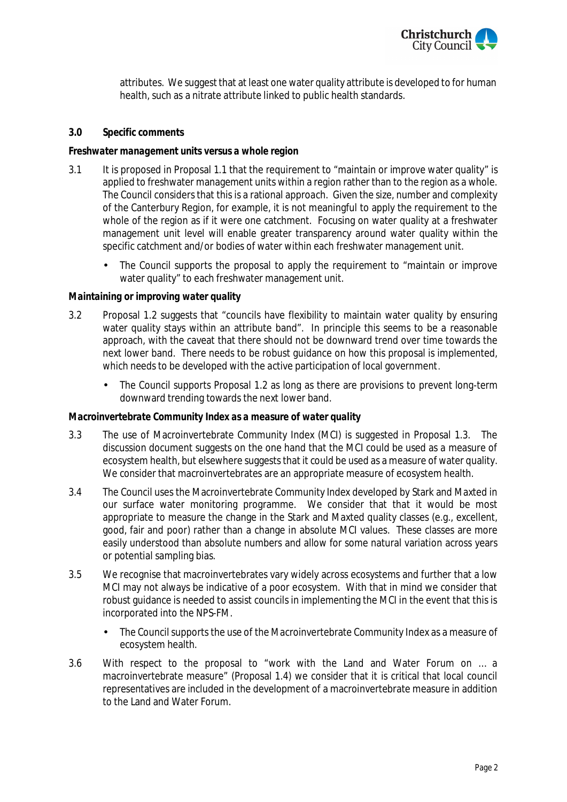

attributes. We suggest that at least one water quality attribute is developed to for human health, such as a nitrate attribute linked to public health standards.

### **3.0 Specific comments**

### *Freshwater management units versus a whole region*

- 3.1 It is proposed in Proposal 1.1 that the requirement to "maintain or improve water quality" is applied to freshwater management units within a region rather than to the region as a whole. The Council considers that this is a rational approach. Given the size, number and complexity of the Canterbury Region, for example, it is not meaningful to apply the requirement to the whole of the region as if it were one catchment. Focusing on water quality at a freshwater management unit level will enable greater transparency around water quality within the specific catchment and/or bodies of water within each freshwater management unit.
	- The Council supports the proposal to apply the requirement to "maintain or improve water quality" to each freshwater management unit.

## *Maintaining or improving water quality*

- 3.2 Proposal 1.2 suggests that "councils have flexibility to maintain water quality by ensuring water quality stays within an attribute band". In principle this seems to be a reasonable approach, with the caveat that there should not be downward trend over time towards the next lower band. There needs to be robust guidance on how this proposal is implemented, which needs to be developed with the active participation of local government.
	- The Council supports Proposal 1.2 as long as there are provisions to prevent long-term downward trending towards the next lower band.

#### *Macroinvertebrate Community Index as a measure of water quality*

- 3.3 The use of Macroinvertebrate Community Index (MCI) is suggested in Proposal 1.3. The discussion document suggests on the one hand that the MCI could be used as a measure of ecosystem health, but elsewhere suggests that it could be used as a measure of water quality. We consider that macroinvertebrates are an appropriate measure of ecosystem health.
- 3.4 The Council uses the Macroinvertebrate Community Index developed by Stark and Maxted in our surface water monitoring programme. We consider that that it would be most appropriate to measure the change in the Stark and Maxted quality classes (e.g., excellent, good, fair and poor) rather than a change in absolute MCI values. These classes are more easily understood than absolute numbers and allow for some natural variation across years or potential sampling bias.
- 3.5 We recognise that macroinvertebrates vary widely across ecosystems and further that a low MCI may not always be indicative of a poor ecosystem. With that in mind we consider that robust guidance is needed to assist councils in implementing the MCI in the event that this is incorporated into the NPS-FM.
	- The Council supports the use of the Macroinvertebrate Community Index as a measure of ecosystem health.
- 3.6 With respect to the proposal to "work with the Land and Water Forum on … a macroinvertebrate measure" (Proposal 1.4) we consider that it is critical that local council representatives are included in the development of a macroinvertebrate measure in addition to the Land and Water Forum.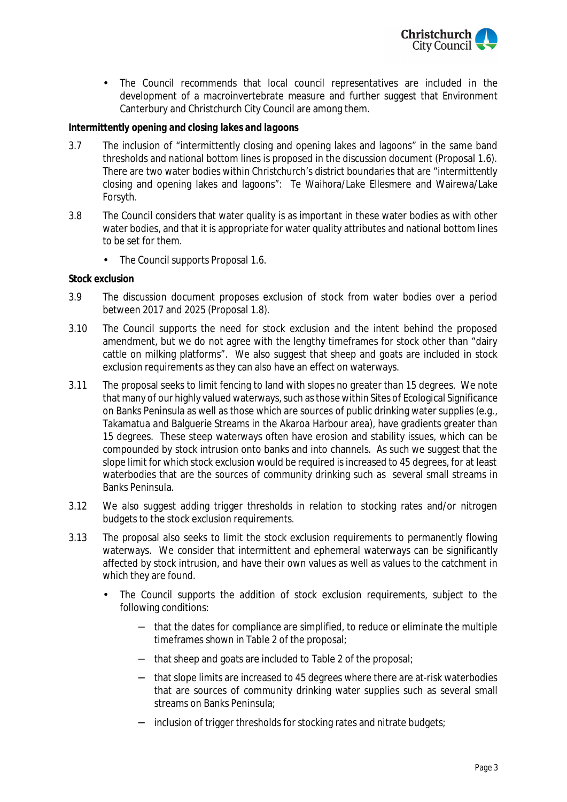

The Council recommends that local council representatives are included in the development of a macroinvertebrate measure and further suggest that Environment Canterbury and Christchurch City Council are among them.

# *Intermittently opening and closing lakes and lagoons*

- 3.7 The inclusion of "intermittently closing and opening lakes and lagoons" in the same band thresholds and national bottom lines is proposed in the discussion document (Proposal 1.6). There are two water bodies within Christchurch's district boundaries that are "intermittently closing and opening lakes and lagoons": Te Waihora/Lake Ellesmere and Wairewa/Lake Forsyth.
- 3.8 The Council considers that water quality is as important in these water bodies as with other water bodies, and that it is appropriate for water quality attributes and national bottom lines to be set for them.
	- The Council supports Proposal 1.6.

#### *Stock exclusion*

- 3.9 The discussion document proposes exclusion of stock from water bodies over a period between 2017 and 2025 (Proposal 1.8).
- 3.10 The Council supports the need for stock exclusion and the intent behind the proposed amendment, but we do not agree with the lengthy timeframes for stock other than "dairy cattle on milking platforms". We also suggest that sheep and goats are included in stock exclusion requirements as they can also have an effect on waterways.
- 3.11 The proposal seeks to limit fencing to land with slopes no greater than 15 degrees. We note that many of our highly valued waterways, such as those within Sites of Ecological Significance on Banks Peninsula as well as those which are sources of public drinking water supplies (e.g., Takamatua and Balguerie Streams in the Akaroa Harbour area), have gradients greater than 15 degrees. These steep waterways often have erosion and stability issues, which can be compounded by stock intrusion onto banks and into channels. As such we suggest that the slope limit for which stock exclusion would be required is increased to 45 degrees, for at least waterbodies that are the sources of community drinking such as several small streams in Banks Peninsula.
- 3.12 We also suggest adding trigger thresholds in relation to stocking rates and/or nitrogen budgets to the stock exclusion requirements.
- 3.13 The proposal also seeks to limit the stock exclusion requirements to permanently flowing waterways. We consider that intermittent and ephemeral waterways can be significantly affected by stock intrusion, and have their own values as well as values to the catchment in which they are found.
	- The Council supports the addition of stock exclusion requirements, subject to the following conditions:
		- that the dates for compliance are simplified, to reduce or eliminate the multiple  $\sim$ timeframes shown in Table 2 of the proposal;
		- that sheep and goats are included to Table 2 of the proposal;  $\mathbf{u}$
		- that slope limits are increased to 45 degrees where there are at-risk waterbodies that are sources of community drinking water supplies such as several small streams on Banks Peninsula;
		- inclusion of trigger thresholds for stocking rates and nitrate budgets; $\blacksquare$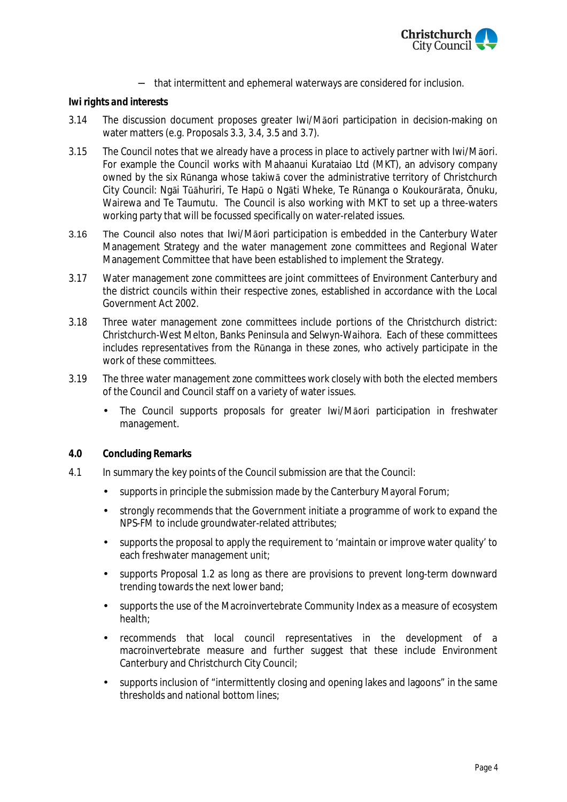

that intermittent and ephemeral waterways are considered for inclusion.  $\mathcal{L}^{\pm}$ 

# *Iwi rights and interests*

- 3.14 The discussion document proposes greater Iwi/Māori participation in decision-making on water matters (e.g. Proposals 3.3, 3.4, 3.5 and 3.7).
- 3.15 The Council notes that we already have a process in place to actively partner with Iwi/Māori. For example the Council works with Mahaanui Kurataiao Ltd (MKT), an advisory company owned by the six Rūnanga whose takiwā cover the administrative territory of Christchurch City Council: Ngāi Tūāhuriri, Te Hapū o Ngāti Wheke, Te Rūnanga o Koukourārata, Ōnuku, Wairewa and Te Taumutu. The Council is also working with MKT to set up a three-waters working party that will be focussed specifically on water-related issues.
- 3.16 The Council also notes that Iwi/Māori participation is embedded in the Canterbury Water Management Strategy and the water management zone committees and Regional Water Management Committee that have been established to implement the Strategy.
- 3.17 Water management zone committees are joint committees of Environment Canterbury and the district councils within their respective zones, established in accordance with the Local Government Act 2002.
- 3.18 Three water management zone committees include portions of the Christchurch district: Christchurch-West Melton, Banks Peninsula and Selwyn-Waihora. Each of these committees includes representatives from the Rūnanga in these zones, who actively participate in the work of these committees.
- 3.19 The three water management zone committees work closely with both the elected members of the Council and Council staff on a variety of water issues.
	- ÷. The Council supports proposals for greater Iwi/Māori participation in freshwater management.
- **4.0 Concluding Remarks**
- 4.1 In summary the key points of the Council submission are that the Council:
	- supports in principle the submission made by the Canterbury Mayoral Forum;
	- strongly recommends that the Government initiate a programme of work to expand the NPS-FM to include groundwater-related attributes;
	- supports the proposal to apply the requirement to 'maintain or improve water quality' to each freshwater management unit;
	- supports Proposal 1.2 as long as there are provisions to prevent long-term downward  $\mathbf{r}$ trending towards the next lower band;
	- supports the use of the Macroinvertebrate Community Index as a measure of ecosystem  $\mathbf{r}$ health;
	- recommends that local council representatives in the development of a  $\mathbf{r}$ macroinvertebrate measure and further suggest that these include Environment Canterbury and Christchurch City Council;
	- supports inclusion of "intermittently closing and opening lakes and lagoons" in the same thresholds and national bottom lines;